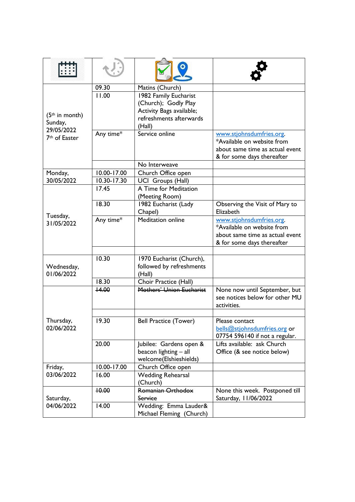| $(5th$ in month)<br>Sunday,<br>29/05/2022<br>7 <sup>th</sup> of Easter | 09.30                | Matins (Church)                                   |                                 |
|------------------------------------------------------------------------|----------------------|---------------------------------------------------|---------------------------------|
|                                                                        | 11.00                | 1982 Family Eucharist                             |                                 |
|                                                                        |                      | (Church); Godly Play                              |                                 |
|                                                                        |                      | Activity Bags available;                          |                                 |
|                                                                        |                      | refreshments afterwards                           |                                 |
|                                                                        |                      | (Hall)                                            |                                 |
|                                                                        | Any time*            | Service online                                    | www.stjohnsdumfries.org.        |
|                                                                        |                      |                                                   | *Available on website from      |
|                                                                        |                      |                                                   | about same time as actual event |
|                                                                        |                      |                                                   | & for some days thereafter      |
|                                                                        |                      | No Interweave                                     |                                 |
| Monday,<br>30/05/2022                                                  | 10.00-17.00          | Church Office open                                |                                 |
|                                                                        | 10.30-17.30<br>17.45 | <b>UCI</b> Groups (Hall)<br>A Time for Meditation |                                 |
| Tuesday,<br>31/05/2022                                                 |                      | (Meeting Room)                                    |                                 |
|                                                                        | 18.30                | 1982 Eucharist (Lady                              | Observing the Visit of Mary to  |
|                                                                        |                      | Chapel)                                           | Elizabeth                       |
|                                                                        | Any time*            | <b>Meditation online</b>                          | www.stjohnsdumfries.org.        |
|                                                                        |                      |                                                   | *Available on website from      |
|                                                                        |                      |                                                   | about same time as actual event |
|                                                                        |                      |                                                   | & for some days thereafter      |
|                                                                        |                      |                                                   |                                 |
|                                                                        | 10.30                | 1970 Eucharist (Church),                          |                                 |
| Wednesday,                                                             |                      | followed by refreshments                          |                                 |
| 01/06/2022                                                             |                      | (Hall)                                            |                                 |
|                                                                        | 18.30                | Choir Practice (Hall)                             |                                 |
| Thursday,<br>02/06/2022                                                | +4.00                | Mothers' Union Eucharist                          | None now until September, but   |
|                                                                        |                      |                                                   | see notices below for other MU  |
|                                                                        |                      |                                                   | activities.                     |
|                                                                        | 19.30                | <b>Bell Practice (Tower)</b>                      | Please contact                  |
|                                                                        |                      |                                                   | bells@stjohnsdumfries.org or    |
|                                                                        |                      |                                                   | 07754 596140 if not a regular.  |
|                                                                        | 20.00                | Jubilee: Gardens open &                           | Lifts available: ask Church     |
|                                                                        |                      | beacon lighting - all                             | Office (& see notice below)     |
|                                                                        |                      | welcome(Elshieshields)                            |                                 |
| Friday,                                                                | 10.00-17.00          | Church Office open                                |                                 |
| 03/06/2022                                                             | 16.00                | <b>Wedding Rehearsal</b>                          |                                 |
|                                                                        |                      | (Church)                                          |                                 |
| Saturday,<br>04/06/2022                                                | +0.00                | Romanian Orthodox                                 | None this week. Postponed till  |
|                                                                        |                      | Service                                           | Saturday, 11/06/2022            |
|                                                                        | 14.00                | Wedding: Emma Lauder&                             |                                 |
|                                                                        |                      | Michael Fleming (Church)                          |                                 |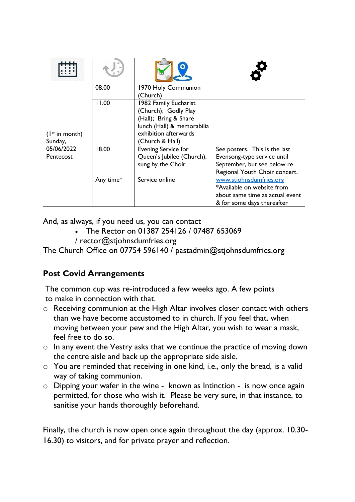| $($   st in month)<br>Sunday,<br>05/06/2022<br>Pentecost | 08.00     | 1970 Holy Communion<br>Church)                                                                                                                  |                                                                                                                              |
|----------------------------------------------------------|-----------|-------------------------------------------------------------------------------------------------------------------------------------------------|------------------------------------------------------------------------------------------------------------------------------|
|                                                          | 11.00     | 1982 Family Eucharist<br>(Church); Godly Play<br>(Hall); Bring & Share<br>lunch (Hall) & memorabilia<br>exhibition afterwards<br>Church & Hall) |                                                                                                                              |
|                                                          | 18.00     | <b>Evening Service for</b><br>Queen's Jubilee (Church),<br>sung by the Choir                                                                    | See posters. This is the last<br>Evensong-type service until<br>September, but see below re<br>Regional Youth Choir concert. |
|                                                          | Any time* | Service online                                                                                                                                  | www.stjohnsdumfries.org<br>*Available on website from<br>about same time as actual event<br>& for some days thereafter       |

And, as always, if you need us, you can contact

- The Rector on 01387 254126 / 07487 653069
- / [rector@stjohnsdumfries.org](mailto:rector@stjohnsdumfries.org)

The Church Office on 07754 596140 / [pastadmin@stjohnsdumfries.org](mailto:pastadmin@stjohnsdumfries.org)

## **Post Covid Arrangements**

The common cup was re-introduced a few weeks ago. A few points to make in connection with that.

- o Receiving communion at the High Altar involves closer contact with others than we have become accustomed to in church. If you feel that, when moving between your pew and the High Altar, you wish to wear a mask, feel free to do so.
- o In any event the Vestry asks that we continue the practice of moving down the centre aisle and back up the appropriate side aisle.
- o You are reminded that receiving in one kind, i.e., only the bread, is a valid way of taking communion.
- o Dipping your wafer in the wine known as Intinction is now once again permitted, for those who wish it. Please be very sure, in that instance, to sanitise your hands thoroughly beforehand.

Finally, the church is now open once again throughout the day (approx. 10.30- 16.30) to visitors, and for private prayer and reflection.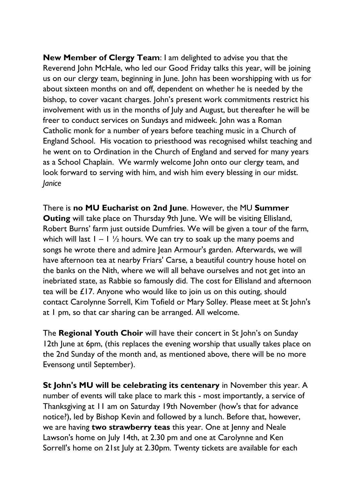**New Member of Clergy Team**: I am delighted to advise you that the Reverend John McHale, who led our Good Friday talks this year, will be joining us on our clergy team, beginning in June. John has been worshipping with us for about sixteen months on and off, dependent on whether he is needed by the bishop, to cover vacant charges. John's present work commitments restrict his involvement with us in the months of July and August, but thereafter he will be freer to conduct services on Sundays and midweek. John was a Roman Catholic monk for a number of years before teaching music in a Church of England School. His vocation to priesthood was recognised whilst teaching and he went on to Ordination in the Church of England and served for many years as a School Chaplain. We warmly welcome John onto our clergy team, and look forward to serving with him, and wish him every blessing in our midst. *Janice*

There is **no MU Eucharist on 2nd June**. However, the MU **Summer Outing** will take place on Thursday 9th June. We will be visiting Ellisland, Robert Burns' farm just outside Dumfries. We will be given a tour of the farm, which will last  $1 - 1$   $\frac{1}{2}$  hours. We can try to soak up the many poems and songs he wrote there and admire Jean Armour's garden. Afterwards, we will have afternoon tea at nearby Friars' Carse, a beautiful country house hotel on the banks on the Nith, where we will all behave ourselves and not get into an inebriated state, as Rabbie so famously did. The cost for Ellisland and afternoon tea will be £17. Anyone who would like to join us on this outing, should contact Carolynne Sorrell, Kim Tofield or Mary Solley. Please meet at St John's at 1 pm, so that car sharing can be arranged. All welcome.

The **Regional Youth Choir** will have their concert in St John's on Sunday 12th June at 6pm, (this replaces the evening worship that usually takes place on the 2nd Sunday of the month and, as mentioned above, there will be no more Evensong until September).

**St John's MU will be celebrating its centenary** in November this year. A number of events will take place to mark this - most importantly, a service of Thanksgiving at 11 am on Saturday 19th November (how's that for advance notice?), led by Bishop Kevin and followed by a lunch. Before that, however, we are having **two strawberry teas** this year. One at Jenny and Neale Lawson's home on July 14th, at 2.30 pm and one at Carolynne and Ken Sorrell's home on 21st July at 2.30pm. Twenty tickets are available for each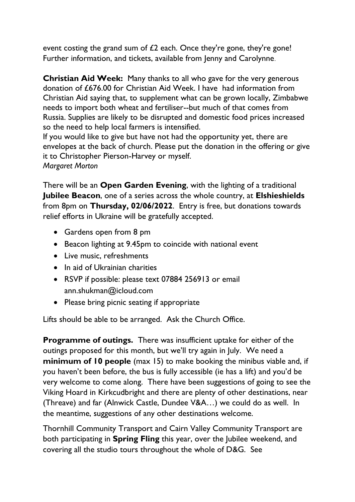event costing the grand sum of £2 each. Once they're gone, they're gone! Further information, and tickets, available from Jenny and Carolynne.

**Christian Aid Week:** Many thanks to all who gave for the very generous donation of £676.00 for Christian Aid Week. I have had information from Christian Aid saying that, to supplement what can be grown locally, Zimbabwe needs to import both wheat and fertiliser--but much of that comes from Russia. Supplies are likely to be disrupted and domestic food prices increased so the need to help local farmers is intensified.

If you would like to give but have not had the opportunity yet, there are envelopes at the back of church. Please put the donation in the offering or give it to Christopher Pierson-Harvey or myself. *Margaret Morton*

There will be an **Open Garden Evening**, with the lighting of a traditional **Jubilee Beacon**, one of a series across the whole country, at **Elshieshields** from 8pm on **Thursday, 02/06/2022**. Entry is free, but donations towards relief efforts in Ukraine will be gratefully accepted.

- Gardens open from 8 pm
- Beacon lighting at 9.45pm to coincide with national event
- Live music, refreshments
- In aid of Ukrainian charities
- RSVP if possible: please text 07884 256913 or email [ann.shukman@icloud.com](mailto:ann.shukman@icloud.com)
- Please bring picnic seating if appropriate

Lifts should be able to be arranged. Ask the Church Office.

**Programme of outings.** There was insufficient uptake for either of the outings proposed for this month, but we'll try again in July. We need a **minimum of 10 people** (max 15) to make booking the minibus viable and, if you haven't been before, the bus is fully accessible (ie has a lift) and you'd be very welcome to come along. There have been suggestions of going to see the Viking Hoard in Kirkcudbright and there are plenty of other destinations, near (Threave) and far (Alnwick Castle, Dundee V&A…) we could do as well. In the meantime, suggestions of any other destinations welcome.

Thornhill Community Transport and Cairn Valley Community Transport are both participating in **Spring Fling** this year, over the Jubilee weekend, and covering all the studio tours throughout the whole of D&G. See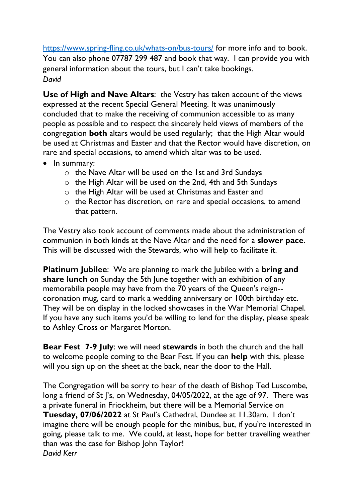<https://www.spring-fling.co.uk/whats-on/bus-tours/> for more info and to book. You can also phone 07787 299 487 and book that way. I can provide you with general information about the tours, but I can't take bookings. *David*

**Use of High and Nave Altars**: the Vestry has taken account of the views expressed at the recent Special General Meeting. It was unanimously concluded that to make the receiving of communion accessible to as many people as possible and to respect the sincerely held views of members of the congregation **both** altars would be used regularly; that the High Altar would be used at Christmas and Easter and that the Rector would have discretion, on rare and special occasions, to amend which altar was to be used.

- In summary:
	- o the Nave Altar will be used on the 1st and 3rd Sundays
	- o the High Altar will be used on the 2nd, 4th and 5th Sundays
	- o the High Altar will be used at Christmas and Easter and
	- o the Rector has discretion, on rare and special occasions, to amend that pattern.

The Vestry also took account of comments made about the administration of communion in both kinds at the Nave Altar and the need for a **slower pace**. This will be discussed with the Stewards, who will help to facilitate it.

**Platinum Jubilee**: We are planning to mark the Jubilee with a **bring and share lunch** on Sunday the 5th June together with an exhibition of any memorabilia people may have from the 70 years of the Queen's reign- coronation mug, card to mark a wedding anniversary or 100th birthday etc. They will be on display in the locked showcases in the War Memorial Chapel. If you have any such items you'd be willing to lend for the display, please speak to Ashley Cross or Margaret Morton.

**Bear Fest 7-9 July**: we will need **stewards** in both the church and the hall to welcome people coming to the Bear Fest. If you can **help** with this, please will you sign up on the sheet at the back, near the door to the Hall.

The Congregation will be sorry to hear of the death of Bishop Ted Luscombe, long a friend of St I's, on Wednesday, 04/05/2022, at the age of 97. There was a private funeral in Friockheim, but there will be a Memorial Service on **Tuesday, 07/06/2022** at St Paul's Cathedral, Dundee at 11.30am. I don't imagine there will be enough people for the minibus, but, if you're interested in going, please talk to me. We could, at least, hope for better travelling weather than was the case for Bishop John Taylor! *David Kerr*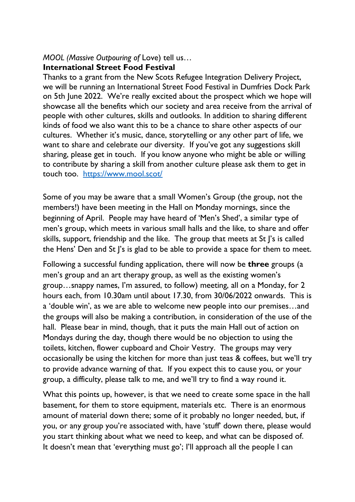## *MOOL (Massive Outpouring of* Love) tell us…

## **International Street Food Festival**

Thanks to a grant from the New Scots Refugee Integration Delivery Project, we will be running an International Street Food Festival in Dumfries Dock Park on 5th June 2022. We're really excited about the prospect which we hope will showcase all the benefits which our society and area receive from the arrival of people with other cultures, skills and outlooks. In addition to sharing different kinds of food we also want this to be a chance to share other aspects of our cultures. Whether it's music, dance, storytelling or any other part of life, we want to share and celebrate our diversity. If you've got any suggestions skill sharing, please get in touch. If you know anyone who might be able or willing to contribute by sharing a skill from another culture please ask them to get in touch too. <https://www.mool.scot/>

Some of you may be aware that a small Women's Group (the group, not the members!) have been meeting in the Hall on Monday mornings, since the beginning of April. People may have heard of 'Men's Shed', a similar type of men's group, which meets in various small halls and the like, to share and offer skills, support, friendship and the like. The group that meets at St J's is called the Hens' Den and St J's is glad to be able to provide a space for them to meet.

Following a successful funding application, there will now be **three** groups (a men's group and an art therapy group, as well as the existing women's group…snappy names, I'm assured, to follow) meeting, all on a Monday, for 2 hours each, from 10.30am until about 17.30, from 30/06/2022 onwards. This is a 'double win', as we are able to welcome new people into our premises…and the groups will also be making a contribution, in consideration of the use of the hall. Please bear in mind, though, that it puts the main Hall out of action on Mondays during the day, though there would be no objection to using the toilets, kitchen, flower cupboard and Choir Vestry. The groups may very occasionally be using the kitchen for more than just teas & coffees, but we'll try to provide advance warning of that. If you expect this to cause you, or your group, a difficulty, please talk to me, and we'll try to find a way round it.

What this points up, however, is that we need to create some space in the hall basement, for them to store equipment, materials etc. There is an enormous amount of material down there; some of it probably no longer needed, but, if you, or any group you're associated with, have 'stuff' down there, please would you start thinking about what we need to keep, and what can be disposed of. It doesn't mean that 'everything must go'; I'll approach all the people I can